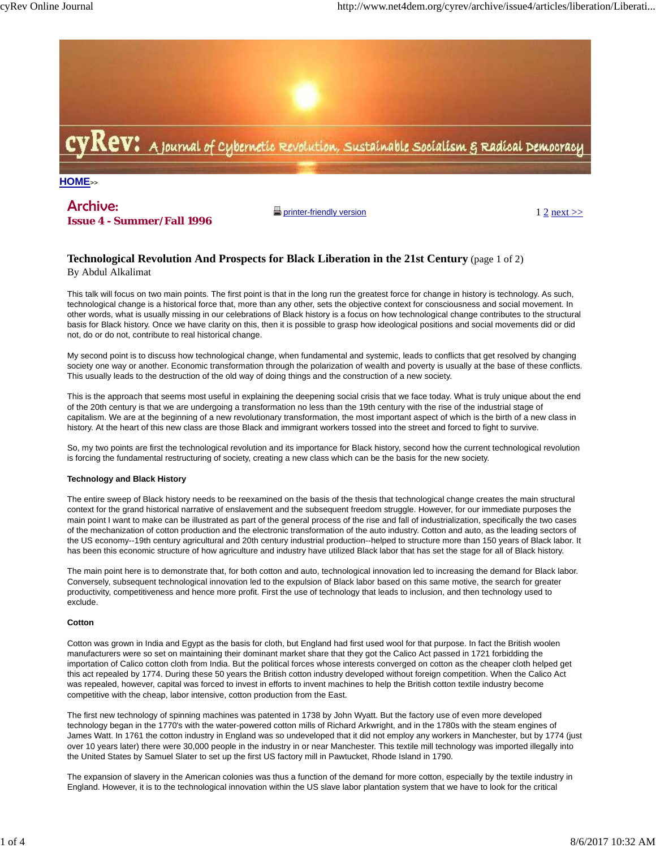

# Archive:

**Issue 4 - Summer/Fall 1996**

 $\Box$  printer-friendly version  $1 \ 2 \text{ next}$ 

## **Technological Revolution And Prospects for Black Liberation in the 21st Century** (page 1 of 2) By Abdul Alkalimat

This talk will focus on two main points. The first point is that in the long run the greatest force for change in history is technology. As such, technological change is a historical force that, more than any other, sets the objective context for consciousness and social movement. In other words, what is usually missing in our celebrations of Black history is a focus on how technological change contributes to the structural basis for Black history. Once we have clarity on this, then it is possible to grasp how ideological positions and social movements did or did not, do or do not, contribute to real historical change.

My second point is to discuss how technological change, when fundamental and systemic, leads to conflicts that get resolved by changing society one way or another. Economic transformation through the polarization of wealth and poverty is usually at the base of these conflicts. This usually leads to the destruction of the old way of doing things and the construction of a new society.

This is the approach that seems most useful in explaining the deepening social crisis that we face today. What is truly unique about the end of the 20th century is that we are undergoing a transformation no less than the 19th century with the rise of the industrial stage of capitalism. We are at the beginning of a new revolutionary transformation, the most important aspect of which is the birth of a new class in history. At the heart of this new class are those Black and immigrant workers tossed into the street and forced to fight to survive.

So, my two points are first the technological revolution and its importance for Black history, second how the current technological revolution is forcing the fundamental restructuring of society, creating a new class which can be the basis for the new society.

### **Technology and Black History**

The entire sweep of Black history needs to be reexamined on the basis of the thesis that technological change creates the main structural context for the grand historical narrative of enslavement and the subsequent freedom struggle. However, for our immediate purposes the main point I want to make can be illustrated as part of the general process of the rise and fall of industrialization, specifically the two cases of the mechanization of cotton production and the electronic transformation of the auto industry. Cotton and auto, as the leading sectors of the US economy--19th century agricultural and 20th century industrial production--helped to structure more than 150 years of Black labor. It has been this economic structure of how agriculture and industry have utilized Black labor that has set the stage for all of Black history.

The main point here is to demonstrate that, for both cotton and auto, technological innovation led to increasing the demand for Black labor. Conversely, subsequent technological innovation led to the expulsion of Black labor based on this same motive, the search for greater productivity, competitiveness and hence more profit. First the use of technology that leads to inclusion, and then technology used to exclude.

#### **Cotton**

Cotton was grown in India and Egypt as the basis for cloth, but England had first used wool for that purpose. In fact the British woolen manufacturers were so set on maintaining their dominant market share that they got the Calico Act passed in 1721 forbidding the importation of Calico cotton cloth from India. But the political forces whose interests converged on cotton as the cheaper cloth helped get this act repealed by 1774. During these 50 years the British cotton industry developed without foreign competition. When the Calico Act was repealed, however, capital was forced to invest in efforts to invent machines to help the British cotton textile industry become competitive with the cheap, labor intensive, cotton production from the East.

The first new technology of spinning machines was patented in 1738 by John Wyatt. But the factory use of even more developed technology began in the 1770's with the water-powered cotton mills of Richard Arkwright, and in the 1780s with the steam engines of James Watt. In 1761 the cotton industry in England was so undeveloped that it did not employ any workers in Manchester, but by 1774 (just over 10 years later) there were 30,000 people in the industry in or near Manchester. This textile mill technology was imported illegally into the United States by Samuel Slater to set up the first US factory mill in Pawtucket, Rhode Island in 1790.

The expansion of slavery in the American colonies was thus a function of the demand for more cotton, especially by the textile industry in England. However, it is to the technological innovation within the US slave labor plantation system that we have to look for the critical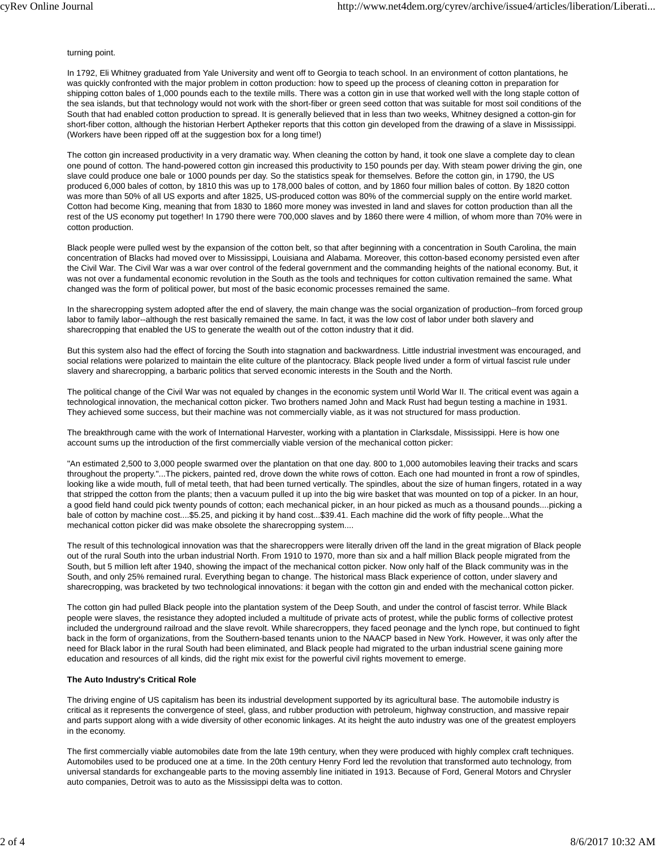turning point.

In 1792, Eli Whitney graduated from Yale University and went off to Georgia to teach school. In an environment of cotton plantations, he was quickly confronted with the major problem in cotton production: how to speed up the process of cleaning cotton in preparation for shipping cotton bales of 1,000 pounds each to the textile mills. There was a cotton gin in use that worked well with the long staple cotton of the sea islands, but that technology would not work with the short-fiber or green seed cotton that was suitable for most soil conditions of the South that had enabled cotton production to spread. It is generally believed that in less than two weeks, Whitney designed a cotton-gin for short-fiber cotton, although the historian Herbert Aptheker reports that this cotton gin developed from the drawing of a slave in Mississippi. (Workers have been ripped off at the suggestion box for a long time!)

The cotton gin increased productivity in a very dramatic way. When cleaning the cotton by hand, it took one slave a complete day to clean one pound of cotton. The hand-powered cotton gin increased this productivity to 150 pounds per day. With steam power driving the gin, one slave could produce one bale or 1000 pounds per day. So the statistics speak for themselves. Before the cotton gin, in 1790, the US produced 6,000 bales of cotton, by 1810 this was up to 178,000 bales of cotton, and by 1860 four million bales of cotton. By 1820 cotton was more than 50% of all US exports and after 1825, US-produced cotton was 80% of the commercial supply on the entire world market. Cotton had become King, meaning that from 1830 to 1860 more money was invested in land and slaves for cotton production than all the rest of the US economy put together! In 1790 there were 700,000 slaves and by 1860 there were 4 million, of whom more than 70% were in cotton production.

Black people were pulled west by the expansion of the cotton belt, so that after beginning with a concentration in South Carolina, the main concentration of Blacks had moved over to Mississippi, Louisiana and Alabama. Moreover, this cotton-based economy persisted even after the Civil War. The Civil War was a war over control of the federal government and the commanding heights of the national economy. But, it was not over a fundamental economic revolution in the South as the tools and techniques for cotton cultivation remained the same. What changed was the form of political power, but most of the basic economic processes remained the same.

In the sharecropping system adopted after the end of slavery, the main change was the social organization of production--from forced group labor to family labor--although the rest basically remained the same. In fact, it was the low cost of labor under both slavery and sharecropping that enabled the US to generate the wealth out of the cotton industry that it did.

But this system also had the effect of forcing the South into stagnation and backwardness. Little industrial investment was encouraged, and social relations were polarized to maintain the elite culture of the plantocracy. Black people lived under a form of virtual fascist rule under slavery and sharecropping, a barbaric politics that served economic interests in the South and the North.

The political change of the Civil War was not equaled by changes in the economic system until World War II. The critical event was again a technological innovation, the mechanical cotton picker. Two brothers named John and Mack Rust had begun testing a machine in 1931. They achieved some success, but their machine was not commercially viable, as it was not structured for mass production.

The breakthrough came with the work of International Harvester, working with a plantation in Clarksdale, Mississippi. Here is how one account sums up the introduction of the first commercially viable version of the mechanical cotton picker:

"An estimated 2,500 to 3,000 people swarmed over the plantation on that one day. 800 to 1,000 automobiles leaving their tracks and scars throughout the property."...The pickers, painted red, drove down the white rows of cotton. Each one had mounted in front a row of spindles, looking like a wide mouth, full of metal teeth, that had been turned vertically. The spindles, about the size of human fingers, rotated in a way that stripped the cotton from the plants; then a vacuum pulled it up into the big wire basket that was mounted on top of a picker. In an hour, a good field hand could pick twenty pounds of cotton; each mechanical picker, in an hour picked as much as a thousand pounds....picking a bale of cotton by machine cost....\$5.25, and picking it by hand cost...\$39.41. Each machine did the work of fifty people...What the mechanical cotton picker did was make obsolete the sharecropping system....

The result of this technological innovation was that the sharecroppers were literally driven off the land in the great migration of Black people out of the rural South into the urban industrial North. From 1910 to 1970, more than six and a half million Black people migrated from the South, but 5 million left after 1940, showing the impact of the mechanical cotton picker. Now only half of the Black community was in the South, and only 25% remained rural. Everything began to change. The historical mass Black experience of cotton, under slavery and sharecropping, was bracketed by two technological innovations: it began with the cotton gin and ended with the mechanical cotton picker.

The cotton gin had pulled Black people into the plantation system of the Deep South, and under the control of fascist terror. While Black people were slaves, the resistance they adopted included a multitude of private acts of protest, while the public forms of collective protest included the underground railroad and the slave revolt. While sharecroppers, they faced peonage and the lynch rope, but continued to fight back in the form of organizations, from the Southern-based tenants union to the NAACP based in New York. However, it was only after the need for Black labor in the rural South had been eliminated, and Black people had migrated to the urban industrial scene gaining more education and resources of all kinds, did the right mix exist for the powerful civil rights movement to emerge.

#### **The Auto Industry's Critical Role**

The driving engine of US capitalism has been its industrial development supported by its agricultural base. The automobile industry is critical as it represents the convergence of steel, glass, and rubber production with petroleum, highway construction, and massive repair and parts support along with a wide diversity of other economic linkages. At its height the auto industry was one of the greatest employers in the economy.

The first commercially viable automobiles date from the late 19th century, when they were produced with highly complex craft techniques. Automobiles used to be produced one at a time. In the 20th century Henry Ford led the revolution that transformed auto technology, from universal standards for exchangeable parts to the moving assembly line initiated in 1913. Because of Ford, General Motors and Chrysler auto companies, Detroit was to auto as the Mississippi delta was to cotton.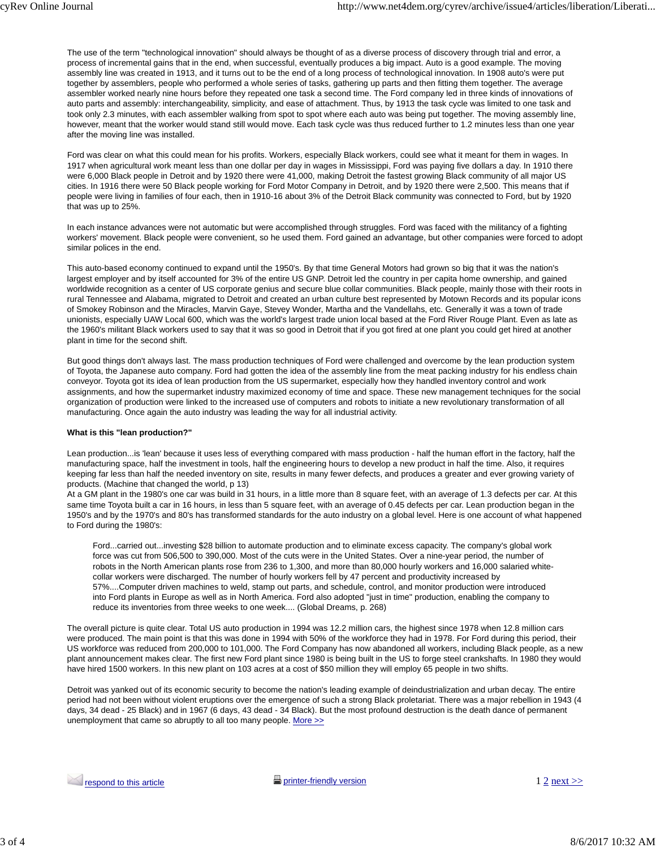The use of the term "technological innovation" should always be thought of as a diverse process of discovery through trial and error, a process of incremental gains that in the end, when successful, eventually produces a big impact. Auto is a good example. The moving assembly line was created in 1913, and it turns out to be the end of a long process of technological innovation. In 1908 auto's were put together by assemblers, people who performed a whole series of tasks, gathering up parts and then fitting them together. The average assembler worked nearly nine hours before they repeated one task a second time. The Ford company led in three kinds of innovations of auto parts and assembly: interchangeability, simplicity, and ease of attachment. Thus, by 1913 the task cycle was limited to one task and took only 2.3 minutes, with each assembler walking from spot to spot where each auto was being put together. The moving assembly line, however, meant that the worker would stand still would move. Each task cycle was thus reduced further to 1.2 minutes less than one year after the moving line was installed.

Ford was clear on what this could mean for his profits. Workers, especially Black workers, could see what it meant for them in wages. In 1917 when agricultural work meant less than one dollar per day in wages in Mississippi, Ford was paying five dollars a day. In 1910 there were 6,000 Black people in Detroit and by 1920 there were 41,000, making Detroit the fastest growing Black community of all major US cities. In 1916 there were 50 Black people working for Ford Motor Company in Detroit, and by 1920 there were 2,500. This means that if people were living in families of four each, then in 1910-16 about 3% of the Detroit Black community was connected to Ford, but by 1920 that was up to 25%.

In each instance advances were not automatic but were accomplished through struggles. Ford was faced with the militancy of a fighting workers' movement. Black people were convenient, so he used them. Ford gained an advantage, but other companies were forced to adopt similar polices in the end.

This auto-based economy continued to expand until the 1950's. By that time General Motors had grown so big that it was the nation's largest employer and by itself accounted for 3% of the entire US GNP. Detroit led the country in per capita home ownership, and gained worldwide recognition as a center of US corporate genius and secure blue collar communities. Black people, mainly those with their roots in rural Tennessee and Alabama, migrated to Detroit and created an urban culture best represented by Motown Records and its popular icons of Smokey Robinson and the Miracles, Marvin Gaye, Stevey Wonder, Martha and the Vandellahs, etc. Generally it was a town of trade unionists, especially UAW Local 600, which was the world's largest trade union local based at the Ford River Rouge Plant. Even as late as the 1960's militant Black workers used to say that it was so good in Detroit that if you got fired at one plant you could get hired at another plant in time for the second shift.

But good things don't always last. The mass production techniques of Ford were challenged and overcome by the lean production system of Toyota, the Japanese auto company. Ford had gotten the idea of the assembly line from the meat packing industry for his endless chain conveyor. Toyota got its idea of lean production from the US supermarket, especially how they handled inventory control and work assignments, and how the supermarket industry maximized economy of time and space. These new management techniques for the social organization of production were linked to the increased use of computers and robots to initiate a new revolutionary transformation of all manufacturing. Once again the auto industry was leading the way for all industrial activity.

#### **What is this "lean production?"**

Lean production...is 'lean' because it uses less of everything compared with mass production - half the human effort in the factory, half the manufacturing space, half the investment in tools, half the engineering hours to develop a new product in half the time. Also, it requires keeping far less than half the needed inventory on site, results in many fewer defects, and produces a greater and ever growing variety of products. (Machine that changed the world, p 13)

At a GM plant in the 1980's one car was build in 31 hours, in a little more than 8 square feet, with an average of 1.3 defects per car. At this same time Toyota built a car in 16 hours, in less than 5 square feet, with an average of 0.45 defects per car. Lean production began in the 1950's and by the 1970's and 80's has transformed standards for the auto industry on a global level. Here is one account of what happened to Ford during the 1980's:

Ford...carried out...investing \$28 billion to automate production and to eliminate excess capacity. The company's global work force was cut from 506,500 to 390,000. Most of the cuts were in the United States. Over a nine-year period, the number of robots in the North American plants rose from 236 to 1,300, and more than 80,000 hourly workers and 16,000 salaried whitecollar workers were discharged. The number of hourly workers fell by 47 percent and productivity increased by 57%....Computer driven machines to weld, stamp out parts, and schedule, control, and monitor production were introduced into Ford plants in Europe as well as in North America. Ford also adopted "just in time" production, enabling the company to reduce its inventories from three weeks to one week.... (Global Dreams, p. 268)

The overall picture is quite clear. Total US auto production in 1994 was 12.2 million cars, the highest since 1978 when 12.8 million cars were produced. The main point is that this was done in 1994 with 50% of the workforce they had in 1978. For Ford during this period, their US workforce was reduced from 200,000 to 101,000. The Ford Company has now abandoned all workers, including Black people, as a new plant announcement makes clear. The first new Ford plant since 1980 is being built in the US to forge steel crankshafts. In 1980 they would have hired 1500 workers. In this new plant on 103 acres at a cost of \$50 million they will employ 65 people in two shifts.

Detroit was yanked out of its economic security to become the nation's leading example of deindustrialization and urban decay. The entire period had not been without violent eruptions over the emergence of such a strong Black proletariat. There was a major rebellion in 1943 (4 days, 34 dead - 25 Black) and in 1967 (6 days, 43 dead - 34 Black). But the most profound destruction is the death dance of permanent unemployment that came so abruptly to all too many people. More >>